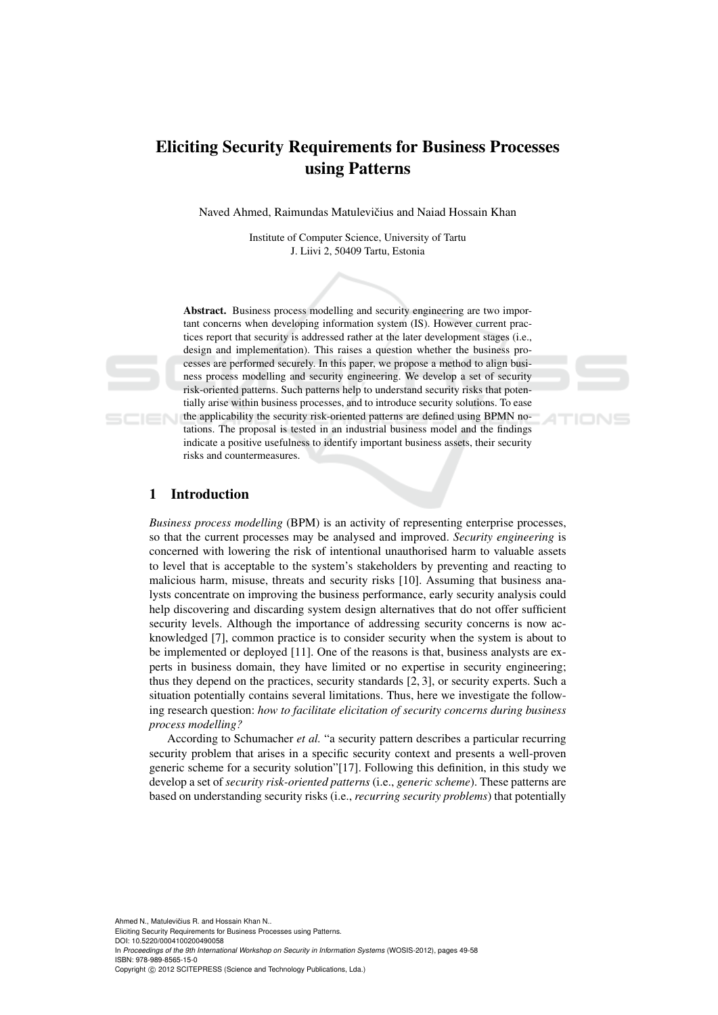# Eliciting Security Requirements for Business Processes using Patterns

Naved Ahmed, Raimundas Matulevičius and Naiad Hossain Khan

Institute of Computer Science, University of Tartu J. Liivi 2, 50409 Tartu, Estonia

Abstract. Business process modelling and security engineering are two important concerns when developing information system (IS). However current practices report that security is addressed rather at the later development stages (i.e., design and implementation). This raises a question whether the business processes are performed securely. In this paper, we propose a method to align business process modelling and security engineering. We develop a set of security risk-oriented patterns. Such patterns help to understand security risks that potentially arise within business processes, and to introduce security solutions. To ease the applicability the security risk-oriented patterns are defined using BPMN no-

tations. The proposal is tested in an industrial business model and the findings indicate a positive usefulness to identify important business assets, their security risks and countermeasures.

TIONS

# 1 Introduction

*Business process modelling* (BPM) is an activity of representing enterprise processes, so that the current processes may be analysed and improved. *Security engineering* is concerned with lowering the risk of intentional unauthorised harm to valuable assets to level that is acceptable to the system's stakeholders by preventing and reacting to malicious harm, misuse, threats and security risks [10]. Assuming that business analysts concentrate on improving the business performance, early security analysis could help discovering and discarding system design alternatives that do not offer sufficient security levels. Although the importance of addressing security concerns is now acknowledged [7], common practice is to consider security when the system is about to be implemented or deployed [11]. One of the reasons is that, business analysts are experts in business domain, they have limited or no expertise in security engineering; thus they depend on the practices, security standards [2, 3], or security experts. Such a situation potentially contains several limitations. Thus, here we investigate the following research question: *how to facilitate elicitation of security concerns during business process modelling?*

According to Schumacher *et al.* "a security pattern describes a particular recurring security problem that arises in a specific security context and presents a well-proven generic scheme for a security solution"[17]. Following this definition, in this study we develop a set of *security risk-oriented patterns* (i.e., *generic scheme*). These patterns are based on understanding security risks (i.e., *recurring security problems*) that potentially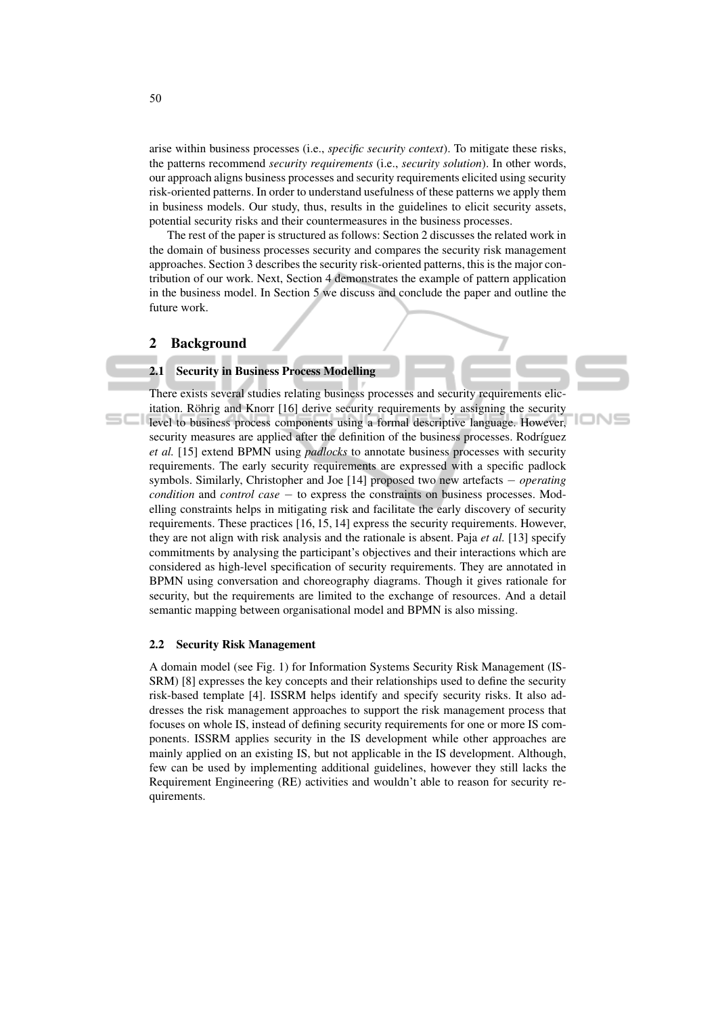arise within business processes (i.e., *specific security context*). To mitigate these risks, the patterns recommend *security requirements* (i.e., *security solution*). In other words, our approach aligns business processes and security requirements elicited using security risk-oriented patterns. In order to understand usefulness of these patterns we apply them in business models. Our study, thus, results in the guidelines to elicit security assets, potential security risks and their countermeasures in the business processes.

The rest of the paper is structured as follows: Section 2 discusses the related work in the domain of business processes security and compares the security risk management approaches. Section 3 describes the security risk-oriented patterns, this is the major contribution of our work. Next, Section 4 demonstrates the example of pattern application in the business model. In Section 5 we discuss and conclude the paper and outline the future work.

#### 2 Background

## 2.1 Security in Business Process Modelling

There exists several studies relating business processes and security requirements elicitation. Röhrig and Knorr  $[16]$  derive security requirements by assigning the security level to business process components using a formal descriptive language. However, security measures are applied after the definition of the business processes. Rodríguez *et al.* [15] extend BPMN using *padlocks* to annotate business processes with security requirements. The early security requirements are expressed with a specific padlock symbols. Similarly, Christopher and Joe [14] proposed two new artefacts − *operating condition* and *control case* − to express the constraints on business processes. Modelling constraints helps in mitigating risk and facilitate the early discovery of security requirements. These practices [16, 15, 14] express the security requirements. However, they are not align with risk analysis and the rationale is absent. Paja *et al.* [13] specify commitments by analysing the participant's objectives and their interactions which are considered as high-level specification of security requirements. They are annotated in BPMN using conversation and choreography diagrams. Though it gives rationale for security, but the requirements are limited to the exchange of resources. And a detail semantic mapping between organisational model and BPMN is also missing.

oN⊆

#### 2.2 Security Risk Management

A domain model (see Fig. 1) for Information Systems Security Risk Management (IS-SRM) [8] expresses the key concepts and their relationships used to define the security risk-based template [4]. ISSRM helps identify and specify security risks. It also addresses the risk management approaches to support the risk management process that focuses on whole IS, instead of defining security requirements for one or more IS components. ISSRM applies security in the IS development while other approaches are mainly applied on an existing IS, but not applicable in the IS development. Although, few can be used by implementing additional guidelines, however they still lacks the Requirement Engineering (RE) activities and wouldn't able to reason for security requirements.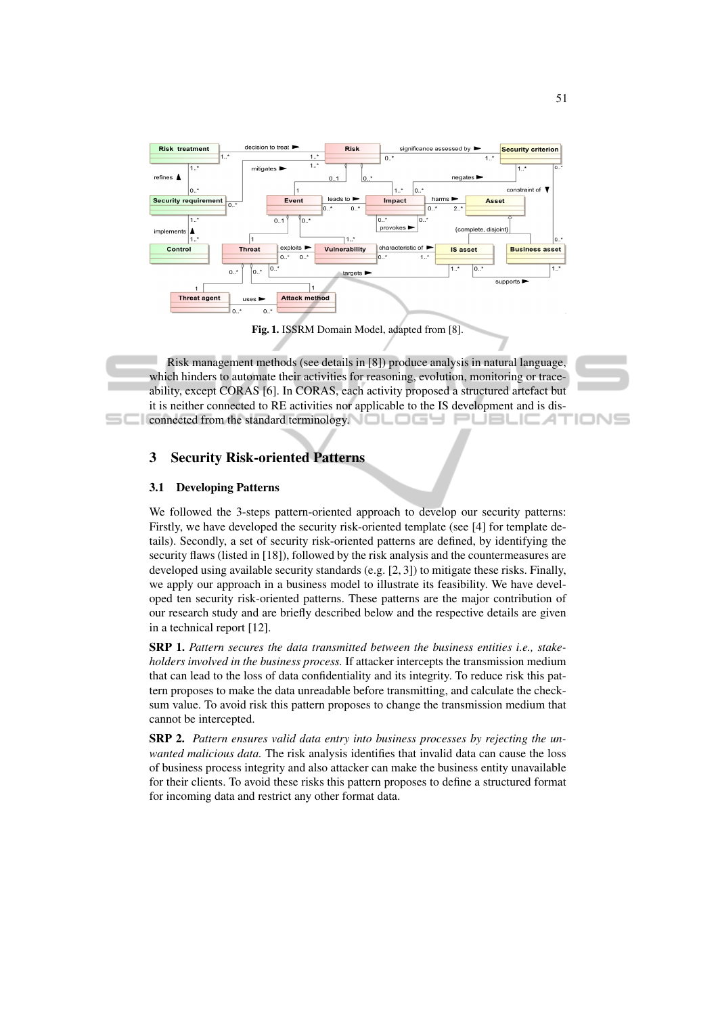

Fig. 1. ISSRM Domain Model, adapted from [8].

Risk management methods (see details in [8]) produce analysis in natural language, which hinders to automate their activities for reasoning, evolution, monitoring or traceability, except CORAS [6]. In CORAS, each activity proposed a structured artefact but it is neither connected to RE activities nor applicable to the IS development and is disconnected from the standard terminology.  $\Box$  $\Box$ JBLIC AT

# 3 Security Risk-oriented Patterns

#### 3.1 Developing Patterns

We followed the 3-steps pattern-oriented approach to develop our security patterns: Firstly, we have developed the security risk-oriented template (see [4] for template details). Secondly, a set of security risk-oriented patterns are defined, by identifying the security flaws (listed in [18]), followed by the risk analysis and the countermeasures are developed using available security standards (e.g. [2, 3]) to mitigate these risks. Finally, we apply our approach in a business model to illustrate its feasibility. We have developed ten security risk-oriented patterns. These patterns are the major contribution of our research study and are briefly described below and the respective details are given in a technical report [12].

SRP 1. *Pattern secures the data transmitted between the business entities i.e., stakeholders involved in the business process.* If attacker intercepts the transmission medium that can lead to the loss of data confidentiality and its integrity. To reduce risk this pattern proposes to make the data unreadable before transmitting, and calculate the checksum value. To avoid risk this pattern proposes to change the transmission medium that cannot be intercepted.

SRP 2. *Pattern ensures valid data entry into business processes by rejecting the unwanted malicious data.* The risk analysis identifies that invalid data can cause the loss of business process integrity and also attacker can make the business entity unavailable for their clients. To avoid these risks this pattern proposes to define a structured format for incoming data and restrict any other format data.

'IONS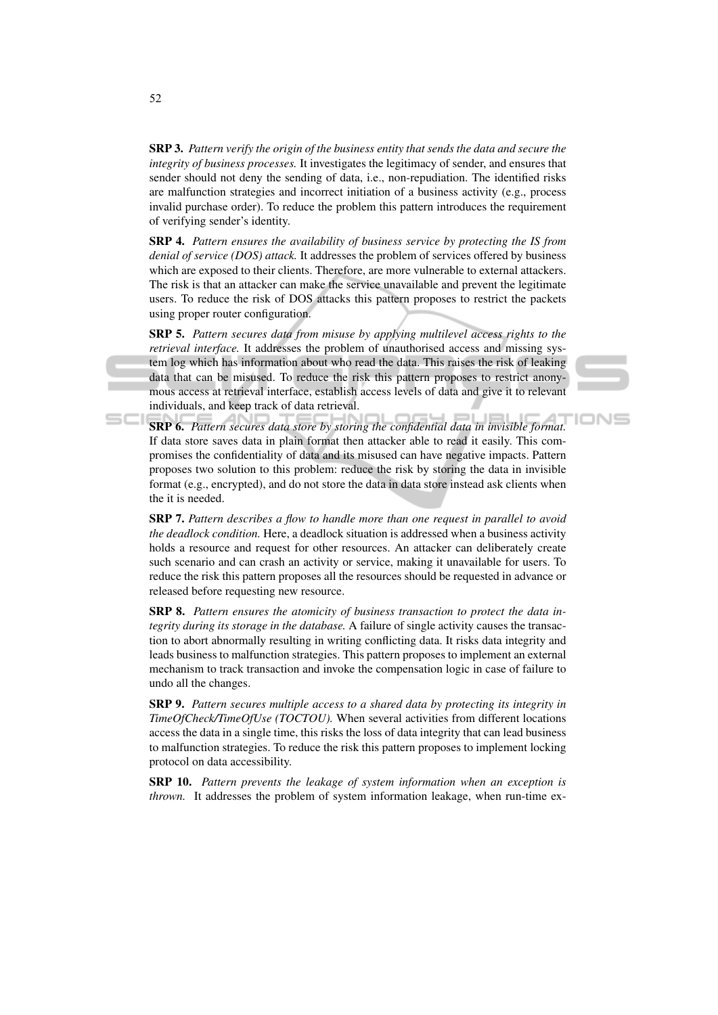SRP 3. *Pattern verify the origin of the business entity that sends the data and secure the integrity of business processes.* It investigates the legitimacy of sender, and ensures that sender should not deny the sending of data, i.e., non-repudiation. The identified risks are malfunction strategies and incorrect initiation of a business activity (e.g., process invalid purchase order). To reduce the problem this pattern introduces the requirement of verifying sender's identity.

SRP 4. *Pattern ensures the availability of business service by protecting the IS from denial of service (DOS) attack.* It addresses the problem of services offered by business which are exposed to their clients. Therefore, are more vulnerable to external attackers. The risk is that an attacker can make the service unavailable and prevent the legitimate users. To reduce the risk of DOS attacks this pattern proposes to restrict the packets using proper router configuration.

SRP 5. *Pattern secures data from misuse by applying multilevel access rights to the retrieval interface.* It addresses the problem of unauthorised access and missing system log which has information about who read the data. This raises the risk of leaking data that can be misused. To reduce the risk this pattern proposes to restrict anonymous access at retrieval interface, establish access levels of data and give it to relevant individuals, and keep track of data retrieval.



IONS

SRP 6. *Pattern secures data store by storing the confidential data in invisible format.* If data store saves data in plain format then attacker able to read it easily. This compromises the confidentiality of data and its misused can have negative impacts. Pattern proposes two solution to this problem: reduce the risk by storing the data in invisible format (e.g., encrypted), and do not store the data in data store instead ask clients when the it is needed.

SRP 7. *Pattern describes a flow to handle more than one request in parallel to avoid the deadlock condition.* Here, a deadlock situation is addressed when a business activity holds a resource and request for other resources. An attacker can deliberately create such scenario and can crash an activity or service, making it unavailable for users. To reduce the risk this pattern proposes all the resources should be requested in advance or released before requesting new resource.

SRP 8. *Pattern ensures the atomicity of business transaction to protect the data integrity during its storage in the database.* A failure of single activity causes the transaction to abort abnormally resulting in writing conflicting data. It risks data integrity and leads business to malfunction strategies. This pattern proposes to implement an external mechanism to track transaction and invoke the compensation logic in case of failure to undo all the changes.

SRP 9. *Pattern secures multiple access to a shared data by protecting its integrity in TimeOfCheck/TimeOfUse (TOCTOU).* When several activities from different locations access the data in a single time, this risks the loss of data integrity that can lead business to malfunction strategies. To reduce the risk this pattern proposes to implement locking protocol on data accessibility.

SRP 10. *Pattern prevents the leakage of system information when an exception is thrown.* It addresses the problem of system information leakage, when run-time ex-

 $=$  $-1$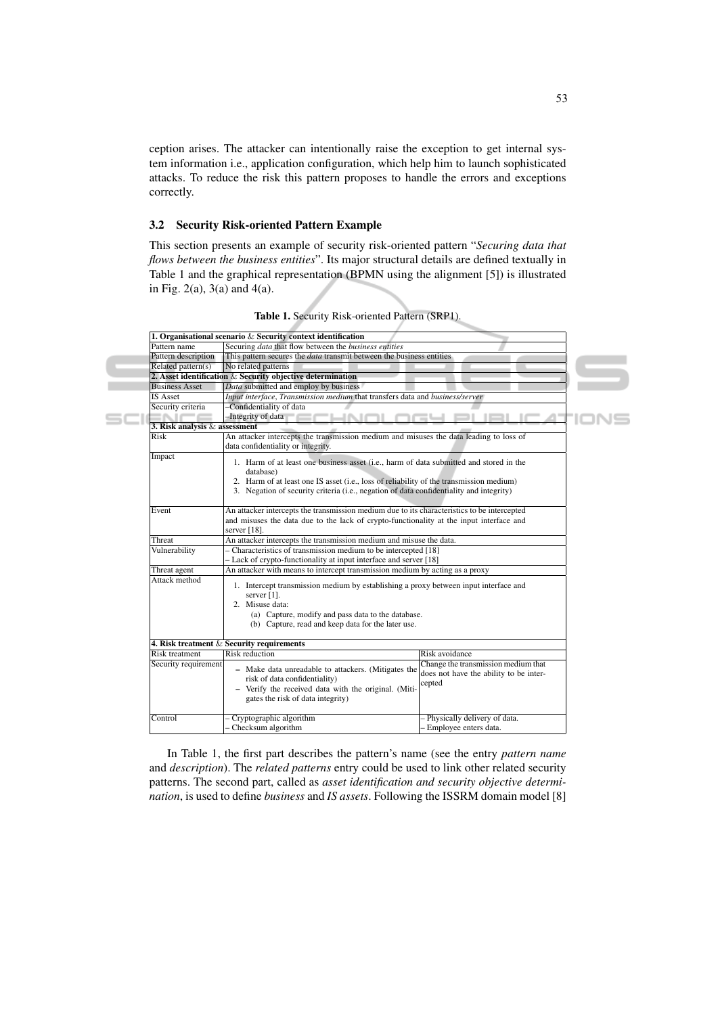ception arises. The attacker can intentionally raise the exception to get internal system information i.e., application configuration, which help him to launch sophisticated attacks. To reduce the risk this pattern proposes to handle the errors and exceptions correctly.

### 3.2 Security Risk-oriented Pattern Example

This section presents an example of security risk-oriented pattern "*Securing data that flows between the business entities*". Its major structural details are defined textually in Table 1 and the graphical representation (BPMN using the alignment [5]) is illustrated in Fig. 2(a), 3(a) and 4(a).

|                                 | 1. Organisational scenario $&$ Security context identification                                                                                                                                                                                                                            |                                                                                         |  |  |  |  |  |
|---------------------------------|-------------------------------------------------------------------------------------------------------------------------------------------------------------------------------------------------------------------------------------------------------------------------------------------|-----------------------------------------------------------------------------------------|--|--|--|--|--|
| Pattern name                    | Securing <i>data</i> that flow between the <i>business entities</i>                                                                                                                                                                                                                       |                                                                                         |  |  |  |  |  |
| Pattern description             | This pattern secures the <i>data</i> transmit between the business entities                                                                                                                                                                                                               |                                                                                         |  |  |  |  |  |
| Related pattern(s)              | No related patterns                                                                                                                                                                                                                                                                       |                                                                                         |  |  |  |  |  |
|                                 | 2. Asset identification $&$ Security objective determination                                                                                                                                                                                                                              |                                                                                         |  |  |  |  |  |
| <b>Business Asset</b>           | Data submitted and employ by business                                                                                                                                                                                                                                                     |                                                                                         |  |  |  |  |  |
| <b>IS Asset</b>                 | Input interface, Transmission medium that transfers data and business/server                                                                                                                                                                                                              |                                                                                         |  |  |  |  |  |
| Security criteria               | -Confidentiality of data                                                                                                                                                                                                                                                                  |                                                                                         |  |  |  |  |  |
|                                 | -Integrity of data                                                                                                                                                                                                                                                                        |                                                                                         |  |  |  |  |  |
| 3. Risk analysis $&$ assessment |                                                                                                                                                                                                                                                                                           |                                                                                         |  |  |  |  |  |
| Risk                            | An attacker intercepts the transmission medium and misuses the data leading to loss of                                                                                                                                                                                                    |                                                                                         |  |  |  |  |  |
|                                 | data confidentiality or integrity.                                                                                                                                                                                                                                                        |                                                                                         |  |  |  |  |  |
| Impact                          | 1. Harm of at least one business asset (i.e., harm of data submitted and stored in the<br>database)<br>2. Harm of at least one IS asset (i.e., loss of reliability of the transmission medium)<br>3. Negation of security criteria (i.e., negation of data confidentiality and integrity) |                                                                                         |  |  |  |  |  |
| Event                           | An attacker intercepts the transmission medium due to its characteristics to be intercepted<br>and misuses the data due to the lack of crypto-functionality at the input interface and<br>server $[18]$ .                                                                                 |                                                                                         |  |  |  |  |  |
| Threat                          | An attacker intercepts the transmission medium and misuse the data.                                                                                                                                                                                                                       |                                                                                         |  |  |  |  |  |
| Vulnerability                   | - Characteristics of transmission medium to be intercepted [18]                                                                                                                                                                                                                           |                                                                                         |  |  |  |  |  |
|                                 | - Lack of crypto-functionality at input interface and server [18]                                                                                                                                                                                                                         |                                                                                         |  |  |  |  |  |
| Threat agent                    | An attacker with means to intercept transmission medium by acting as a proxy                                                                                                                                                                                                              |                                                                                         |  |  |  |  |  |
| Attack method                   | 1. Intercept transmission medium by establishing a proxy between input interface and<br>server $[1]$ .<br>2. Misuse data:<br>(a) Capture, modify and pass data to the database.<br>(b) Capture, read and keep data for the later use.                                                     |                                                                                         |  |  |  |  |  |
|                                 | 4. Risk treatment $&$ Security requirements                                                                                                                                                                                                                                               |                                                                                         |  |  |  |  |  |
| <b>Risk treatment</b>           | <b>Risk reduction</b>                                                                                                                                                                                                                                                                     | Risk avoidance                                                                          |  |  |  |  |  |
| Security requirement            | - Make data unreadable to attackers. (Mitigates the<br>risk of data confidentiality)<br>- Verify the received data with the original. (Miti-<br>gates the risk of data integrity)                                                                                                         | Change the transmission medium that<br>does not have the ability to be inter-<br>cepted |  |  |  |  |  |
| Control                         | Cryptographic algorithm<br>Checksum algorithm                                                                                                                                                                                                                                             | - Physically delivery of data.<br>- Employee enters data.                               |  |  |  |  |  |

Table 1. Security Risk-oriented Pattern (SRP1).

In Table 1, the first part describes the pattern's name (see the entry *pattern name* and *description*). The *related patterns* entry could be used to link other related security patterns. The second part, called as *asset identification and security objective determination*, is used to define *business* and *IS assets*. Following the ISSRM domain model [8]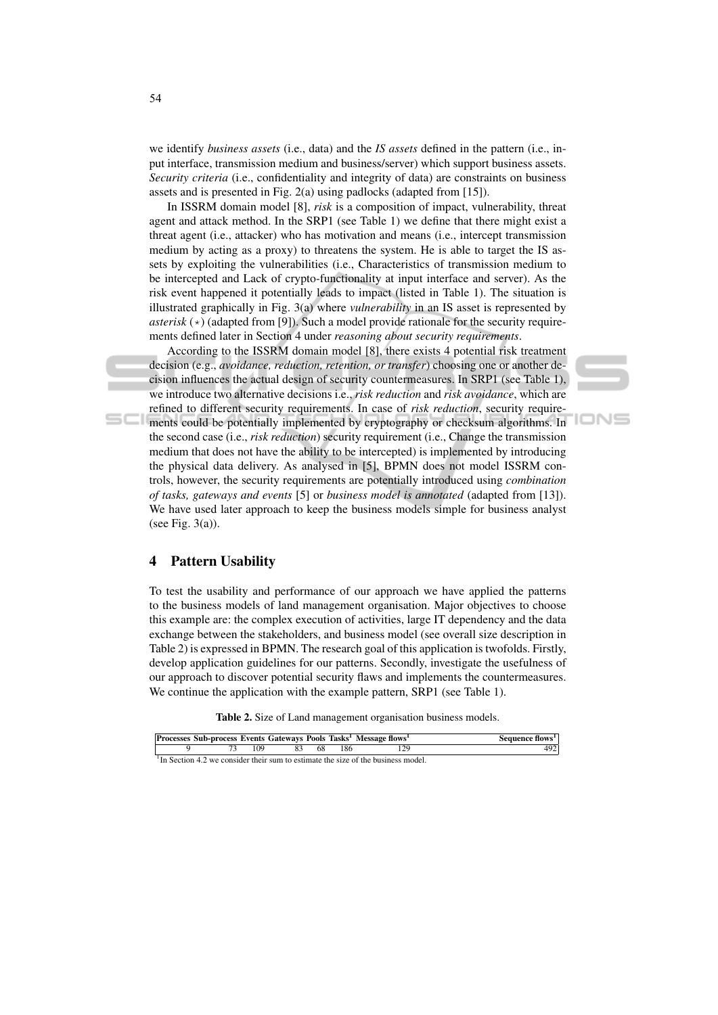we identify *business assets* (i.e., data) and the *IS assets* defined in the pattern (i.e., input interface, transmission medium and business/server) which support business assets. *Security criteria* (i.e., confidentiality and integrity of data) are constraints on business assets and is presented in Fig. 2(a) using padlocks (adapted from [15]).

In ISSRM domain model [8], *risk* is a composition of impact, vulnerability, threat agent and attack method. In the SRP1 (see Table 1) we define that there might exist a threat agent (i.e., attacker) who has motivation and means (i.e., intercept transmission medium by acting as a proxy) to threatens the system. He is able to target the IS assets by exploiting the vulnerabilities (i.e., Characteristics of transmission medium to be intercepted and Lack of crypto-functionality at input interface and server). As the risk event happened it potentially leads to impact (listed in Table 1). The situation is illustrated graphically in Fig. 3(a) where *vulnerability* in an IS asset is represented by *asterisk* ( $\star$ ) (adapted from [9]). Such a model provide rationale for the security requirements defined later in Section 4 under *reasoning about security requirements*.

According to the ISSRM domain model [8], there exists 4 potential risk treatment decision (e.g., *avoidance, reduction, retention, or transfer*) choosing one or another decision influences the actual design of security countermeasures. In SRP1 (see Table 1), we introduce two alternative decisions i.e., *risk reduction* and *risk avoidance*, which are refined to different security requirements. In case of *risk reduction*, security requirements could be potentially implemented by cryptography or checksum algorithms. In the second case (i.e., *risk reduction*) security requirement (i.e., Change the transmission

IONS

medium that does not have the ability to be intercepted) is implemented by introducing the physical data delivery. As analysed in [5], BPMN does not model ISSRM controls, however, the security requirements are potentially introduced using *combination of tasks, gateways and events* [5] or *business model is annotated* (adapted from [13]). We have used later approach to keep the business models simple for business analyst (see Fig.  $3(a)$ ).

# 4 Pattern Usability

To test the usability and performance of our approach we have applied the patterns to the business models of land management organisation. Major objectives to choose this example are: the complex execution of activities, large IT dependency and the data exchange between the stakeholders, and business model (see overall size description in Table 2) is expressed in BPMN. The research goal of this application is twofolds. Firstly, develop application guidelines for our patterns. Secondly, investigate the usefulness of our approach to discover potential security flaws and implements the countermeasures. We continue the application with the example pattern, SRP1 (see Table 1).

Table 2. Size of Land management organisation business models.

|  |     |     |      |     | Processes Sub-process Events Gateways Pools Tasks <sup>1</sup> Message flows <sup>1</sup>  | Sequence flows <sup>1</sup> |
|--|-----|-----|------|-----|--------------------------------------------------------------------------------------------|-----------------------------|
|  | 109 | -83 | - 68 | 186 | 129                                                                                        | 492                         |
|  |     |     |      |     | $\rm{^1}$ In Section 4.2 we consider their sum to estimate the size of the business model. |                             |

 $\equiv$   $\equiv$   $\equiv$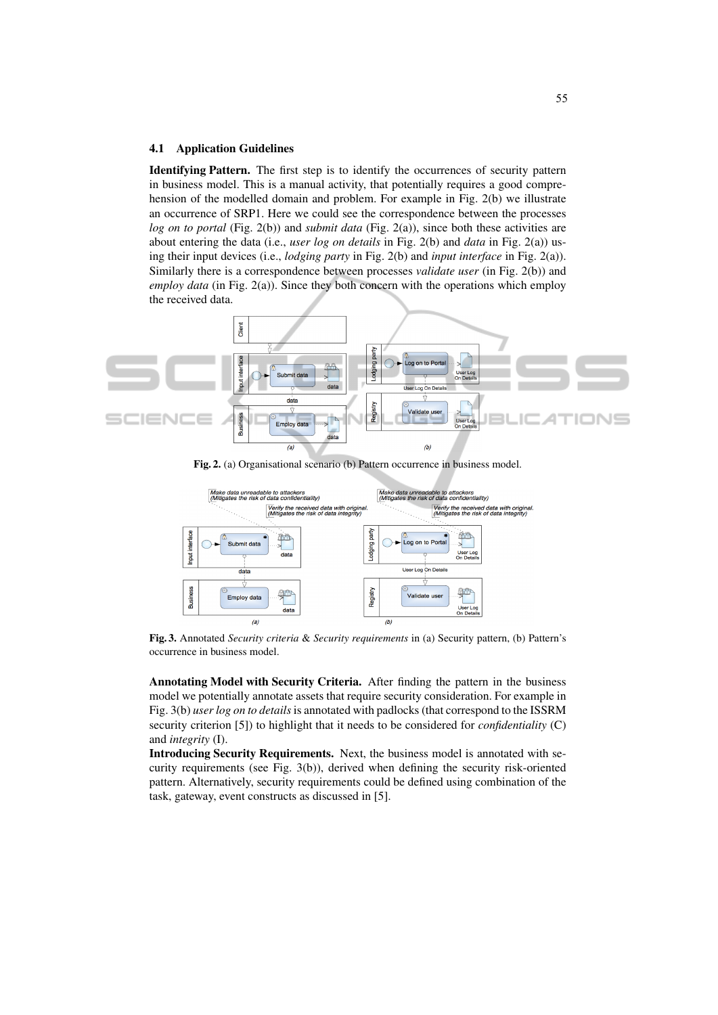#### 4.1 Application Guidelines

Identifying Pattern. The first step is to identify the occurrences of security pattern in business model. This is a manual activity, that potentially requires a good comprehension of the modelled domain and problem. For example in Fig. 2(b) we illustrate an occurrence of SRP1. Here we could see the correspondence between the processes *log on to portal* (Fig. 2(b)) and *submit data* (Fig. 2(a)), since both these activities are about entering the data (i.e., *user log on details* in Fig. 2(b) and *data* in Fig. 2(a)) using their input devices (i.e., *lodging party* in Fig. 2(b) and *input interface* in Fig. 2(a)). Similarly there is a correspondence between processes *validate user* (in Fig. 2(b)) and *employ data* (in Fig. 2(a)). Since they both concern with the operations which employ the received data.



Fig. 2. (a) Organisational scenario (b) Pattern occurrence in business model.



Fig. 3. Annotated *Security criteria* & *Security requirements* in (a) Security pattern, (b) Pattern's occurrence in business model.

Annotating Model with Security Criteria. After finding the pattern in the business model we potentially annotate assets that require security consideration. For example in Fig. 3(b) *user log on to details*is annotated with padlocks (that correspond to the ISSRM security criterion [5]) to highlight that it needs to be considered for *confidentiality* (C) and *integrity* (I).

Introducing Security Requirements. Next, the business model is annotated with security requirements (see Fig. 3(b)), derived when defining the security risk-oriented pattern. Alternatively, security requirements could be defined using combination of the task, gateway, event constructs as discussed in [5].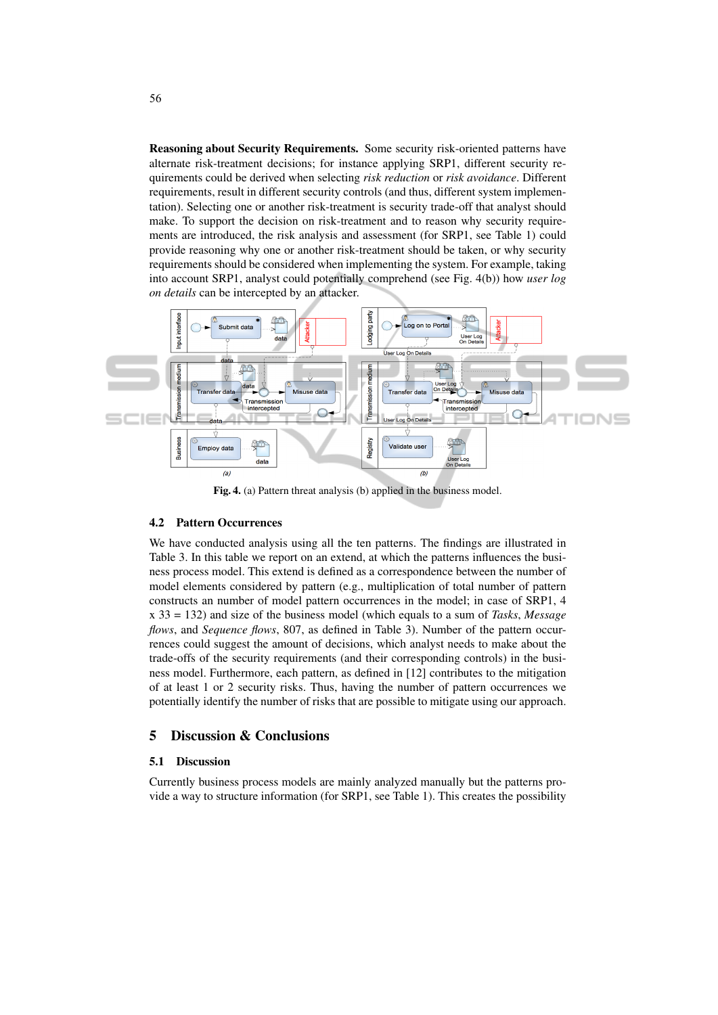Reasoning about Security Requirements. Some security risk-oriented patterns have alternate risk-treatment decisions; for instance applying SRP1, different security requirements could be derived when selecting *risk reduction* or *risk avoidance*. Different requirements, result in different security controls (and thus, different system implementation). Selecting one or another risk-treatment is security trade-off that analyst should make. To support the decision on risk-treatment and to reason why security requirements are introduced, the risk analysis and assessment (for SRP1, see Table 1) could provide reasoning why one or another risk-treatment should be taken, or why security requirements should be considered when implementing the system. For example, taking into account SRP1, analyst could potentially comprehend (see Fig. 4(b)) how *user log on details* can be intercepted by an attacker.



Fig. 4. (a) Pattern threat analysis (b) applied in the business model.

#### 4.2 Pattern Occurrences

We have conducted analysis using all the ten patterns. The findings are illustrated in Table 3. In this table we report on an extend, at which the patterns influences the business process model. This extend is defined as a correspondence between the number of model elements considered by pattern (e.g., multiplication of total number of pattern constructs an number of model pattern occurrences in the model; in case of SRP1, 4 x 33 = 132) and size of the business model (which equals to a sum of *Tasks*, *Message flows*, and *Sequence flows*, 807, as defined in Table 3). Number of the pattern occurrences could suggest the amount of decisions, which analyst needs to make about the trade-offs of the security requirements (and their corresponding controls) in the business model. Furthermore, each pattern, as defined in [12] contributes to the mitigation of at least 1 or 2 security risks. Thus, having the number of pattern occurrences we potentially identify the number of risks that are possible to mitigate using our approach.

# 5 Discussion & Conclusions

#### 5.1 Discussion

Currently business process models are mainly analyzed manually but the patterns provide a way to structure information (for SRP1, see Table 1). This creates the possibility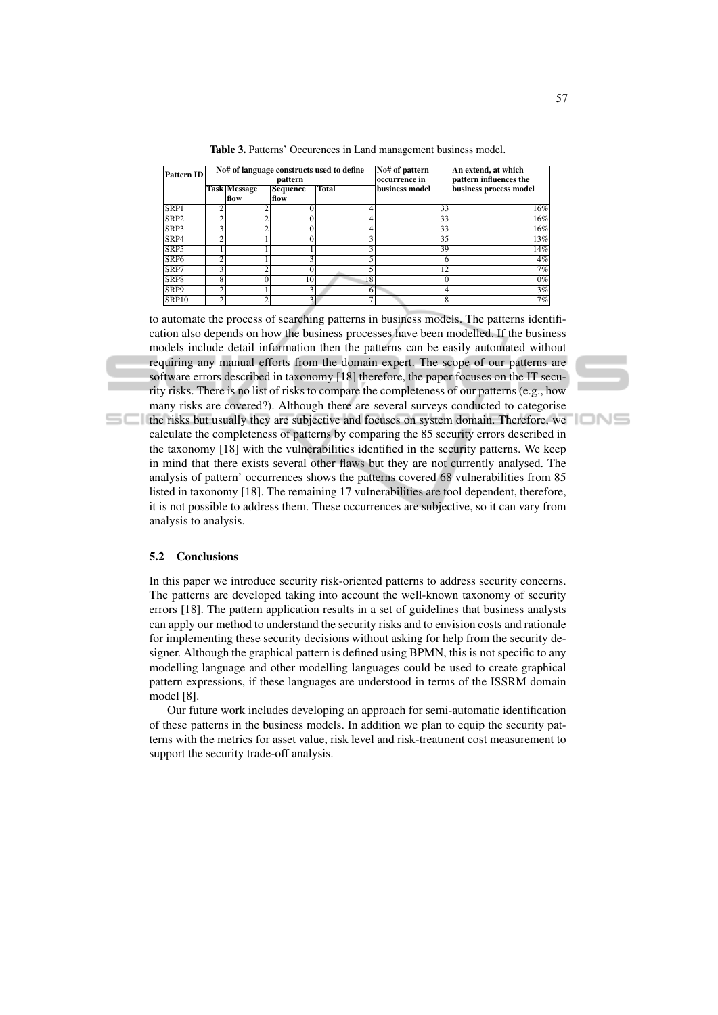| <b>Pattern ID</b> |                |                             | pattern          | No# of language constructs used to define | No# of pattern<br> occurrence in | An extend, at which<br>pattern influences the |  |
|-------------------|----------------|-----------------------------|------------------|-------------------------------------------|----------------------------------|-----------------------------------------------|--|
|                   |                | <b>Task Message</b><br>flow | Sequence<br>flow | <b>Total</b>                              | business model                   | business process model                        |  |
| SRP1              | $\overline{c}$ | ◠                           | 0                | 4                                         | 33                               | 16%                                           |  |
| SRP <sub>2</sub>  | ◠              | ◠                           | 0                |                                           | 33                               | 16%                                           |  |
| SRP3              | 3              | ◠                           |                  |                                           | 33                               | 16%                                           |  |
| SRP4              | $\overline{c}$ |                             | 0                | $\overline{3}$                            | 35                               | 13%                                           |  |
| SRP5              |                |                             |                  | 3                                         | 39                               | 14%                                           |  |
| SRP <sub>6</sub>  | ◠              |                             | 3                | 5                                         | 6                                | 4%                                            |  |
| SRP7              | 3              | 7                           | 0                | 5                                         | $\overline{12}$                  | 7%                                            |  |
| SRP8              | 8              | 0                           | 10               | 18                                        | $\theta$                         | $0\%$                                         |  |
| SRP9              | ↑              |                             | 3                | h                                         | 4                                | 3%                                            |  |
| <b>SRP10</b>      | ↑              | ↑                           | 3                | ⇁                                         | 8                                | 7%                                            |  |

Table 3. Patterns' Occurences in Land management business model.

to automate the process of searching patterns in business models. The patterns identification also depends on how the business processes have been modelled. If the business models include detail information then the patterns can be easily automated without requiring any manual efforts from the domain expert. The scope of our patterns are software errors described in taxonomy [18] therefore, the paper focuses on the IT security risks. There is no list of risks to compare the completeness of our patterns (e.g., how many risks are covered?). Although there are several surveys conducted to categorise the risks but usually they are subjective and focuses on system domain. Therefore, we

calculate the completeness of patterns by comparing the 85 security errors described in the taxonomy [18] with the vulnerabilities identified in the security patterns. We keep in mind that there exists several other flaws but they are not currently analysed. The analysis of pattern' occurrences shows the patterns covered 68 vulnerabilities from 85 listed in taxonomy [18]. The remaining 17 vulnerabilities are tool dependent, therefore, it is not possible to address them. These occurrences are subjective, so it can vary from analysis to analysis.

#### 5.2 Conclusions

In this paper we introduce security risk-oriented patterns to address security concerns. The patterns are developed taking into account the well-known taxonomy of security errors [18]. The pattern application results in a set of guidelines that business analysts can apply our method to understand the security risks and to envision costs and rationale for implementing these security decisions without asking for help from the security designer. Although the graphical pattern is defined using BPMN, this is not specific to any modelling language and other modelling languages could be used to create graphical pattern expressions, if these languages are understood in terms of the ISSRM domain model [8].

Our future work includes developing an approach for semi-automatic identification of these patterns in the business models. In addition we plan to equip the security patterns with the metrics for asset value, risk level and risk-treatment cost measurement to support the security trade-off analysis.

'IONS